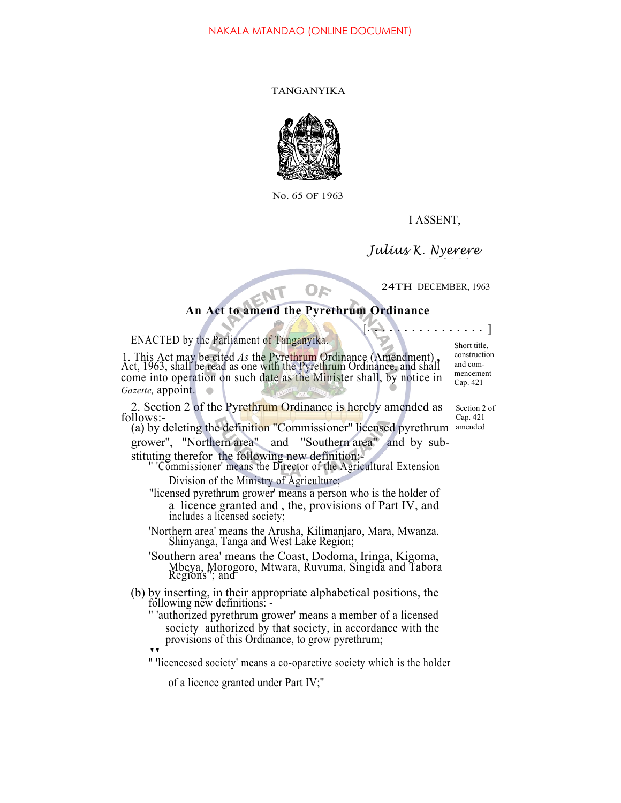## TANGANYIKA



No. 65 OF 1963

I ASSENT,

*Julius K. Nyerere*

24TH DECEMBER, 1963

## **An Act to amend the Pyrethrum Ordinance**

OF

ENACTED by the Parliament of Tanganyika.

1. This Act may be cited *As* the Pyrethrum Ordinance (Amendment) **,** Act, 1963, shall be read as one with the Pyrethrum Ordinance, and shall come into operation on such date as the Minister shall, by notice in *Gazette,* appoint.

2. Section 2 of the Pyrethrum Ordinance is hereby amended as follows:-

(a) by deleting the definition "Commissioner" licensed pyrethrum amended grower'', "Northern area" and "Southern area" and by substituting therefor the following new definition:-

'Commissioner' means the Director of the Agricultural Extension Division of the Ministry of Agriculture;

- "licensed pyrethrum grower' means a person who is the holder of a licence granted and , the, provisions of Part IV, and includes a licensed society;
- 'Northern area' means the Arusha, Kilimanjaro, Mara, Mwanza. Shinyanga, Tanga and West Lake Region;

'Southern area' means the Coast, Dodoma, Iringa, Kigoma, Mbeya, Morogoro, Mtwara, Ruvuma, Singida and Tabora Regions''; and

- (b) by inserting, in their appropriate alphabetical positions, the following new definitions:
	- '' 'authorized pyrethrum grower' means a member of a licensed society authorized by that society, in accordance with the provisions of this Ordinance, to grow pyrethrum; provisions of this Ordinance, to grow pyrethrum;<br>"Iicencesed society' means a co-oparetive society which is the holder

of a licence granted under Part IV;''

mencement Cap. 421

 $\ldots$  .

Short title, construction and com-

Section 2 of Cap. 421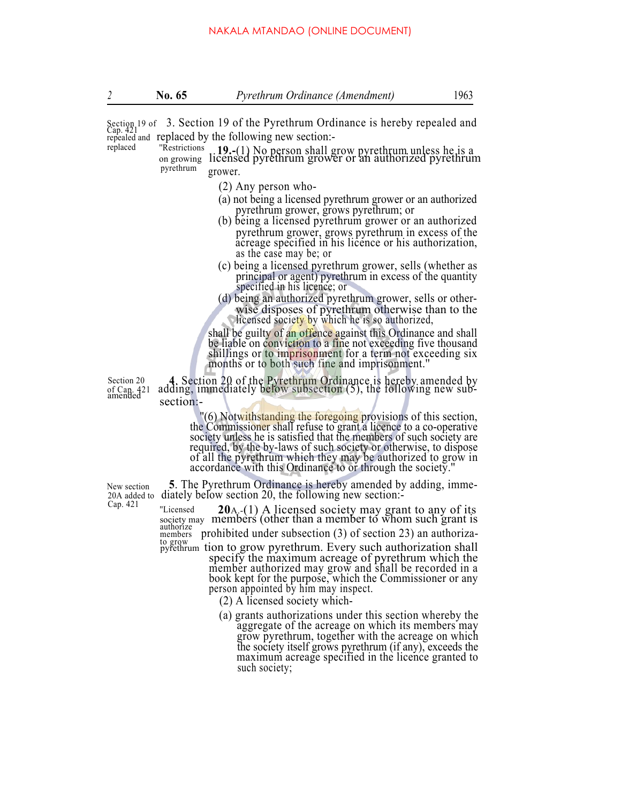*2* **No. 65** *Pyrethrum Ordinance (Amendment)* 1963

Section 19 of 3. Section 19 of the Pyrethrum Ordinance is hereby repealed and Cap. 421 repealed and replaced by the following new section:<br>replaced "Restrictions **10** (1) No person shall of

<sup>"Restrictions</sup> **19.-**(1) No person shall grow pyrethrum unless he is a on growing licensed pyrethrum grower or an authorized pyrethrum pyrethrum grower.

- (2) Any person who-
- (a) not being a licensed pyrethrum grower or an authorized pyrethrum grower, grows pyrethrum; or (b) being a licensed pyrethrum grower or an authorized
- pyrethrum grower, grows pyrethrum in excess of the acreage specified in his licence or his authorization, as the case may be; or
- (c) being a licensed pyrethrum grower, sells (whether as principal or agent) pyrethrum in excess of the quantity specified in his licence; or
- (d) being an authorized pyrethrum grower, sells or otherwise disposes of pyrethrum otherwise than to the licensed society by which he is so authorized,

shall be guilty of an offence against this Ordinance and shall be liable on conviction to a fine not exceeding five thousand shillings or to imprisonment for a term not exceeding six months or to both such fine and imprisonment.''

Section 20 **4**. Section 20 of the Pyrethrum Ordinance is hereby amended by of Cap. 421 adding, immediately below subsection (5), the following new subsection:

''(6) Notwithstanding the foregoing provisions of this section, the Commissioner shall refuse to grant a licence to a co-operative society unless he is satisfied that the members of such society are required, by the by-laws of such society or otherwise, to dispose of all the pyrethrum which they may be authorized to grow in accordance with this Ordinance to or through the society.''

New section **5**. The Pyrethrum Ordinance is hereby amended by adding, imme-<br>20A added to diately below section 20, the following new section:-

 $20A - (1)$  A licensed **20**A. The following new section 20 A. society may members (other than a member to whom such grant is authorize ''Licensed members prohibited under subsection  $(3)$  of section 23) an authorization shall pyrethrum tion to grow pyrethrum. Every such authorization shall pyrethrum tion to grow pyrethrum. Every such authorization shall specify the maximum acreage of pyrethrum which the member authorized may grow and shall be recorded in a book kept for the purpose, which the Commissioner or any

person appointed by him may inspect.

- (2) A licensed society which-
- (a) grants authorizations under this section whereby the aggregate of the acreage on which its members may grow pyrethrum, together with the acreage on which the society itself grows pyrethrum (if any), exceeds the maximum acreage specified in the licence granted to such society;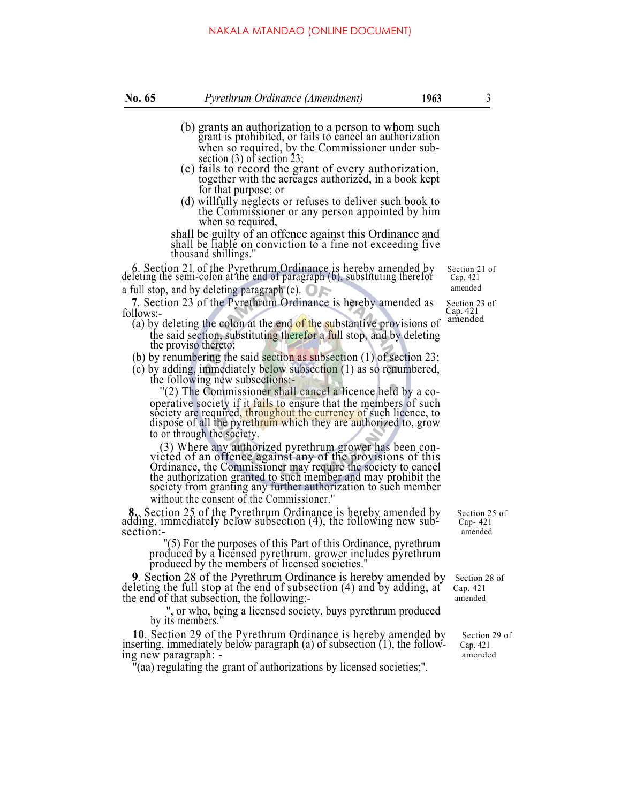## NAKALA MTANDAO (ONLINE DOCUMENT)

- (b) grants an authorization to a person to whom such grant is prohibited, or fails to cancel an authorization when so required, by the Commissioner under subsection  $(3)$  of section 23;
- $\epsilon$  (c) fails to record the grant of every authorization, together with the acreages authorized, in a book kept for that purpose; or
- (d) willfully neglects or refuses to deliver such book to the Commissioner or any person appointed by him when so required,

shall be guilty of an offence against this Ordinance and shall be liable on conviction to a fine not exceeding five thousand shillings.''

6. Section 21 of the Pyrethrum Ordinance is hereby amended by Section 21 of deleting the semi-colon at the end of paragraph (b), substituting therefor  $Cap. 421$ a full stop, and by deleting paragraph  $(c)$ .  $\bigcirc$   $\bigcirc$  amended

**7.** Section 23 of the Pyrethrum Ordinance is hereby amended as Section 23 of lows:-<br>llows:-<br>(a) by deleting the colon at the end of the substantive provisions of amended follows:-<br>(a) by deleting the colon at the end of the substantive provisions of

- the said section, substituting therefor a full stop, and by deleting the proviso thereto;
- (b) by renumbering the said section as subsection (1) of section 23;
- (c) by adding, immediately below subsection (1) as so renumbered, the following new subsections:-

'(2) The Commissioner shall cancel a licence held by a cooperative society if it fails to ensure that the members of such society are required, throughout the currency of such licence, to dispose of all the pyrethrum which they are authorized to, grow to or through the society.

(3) Where any authorized pyrethrum grower has been con- victed of an offence against any of the provisions of this Ordinance, the Commissioner may require the society to cancel the authorization granted to such member and may prohibit the society from granting any further authorization to such member without the consent of the Commissioner.''

**8.** Section 25 of the Pyrethrum Ordinance is hereby amended by Section 25 of adding, immediately below subsection (4), the following new sub- Cap- 421 section:- amended

''(5) For the purposes of this Part of this Ordinance, pyrethrum produced by a licensed pyrethrum. grower includes pyrethrum produced by the members of licensed societies.''

**9***.* Section 28 of the Pyrethrum Ordinance is hereby amended by Section 28 of deleting the full stop at the end of subsection (4) and by adding, at Cap. 421 the end of that subsection, the following:- amended

", or who, being a licensed society, buys pyrethrum produced by its members.''

**10**. Section 29 of the Pyrethrum Ordinance is hereby amended by section 29 of section 29 of section 29 of section (1), the followinserting, immediately below paragraph (a) of subsection  $(1)$ , the following new paragraph:  $\overline{\phantom{a}}$  amended

''(aa) regulating the grant of authorizations by licensed societies;''.